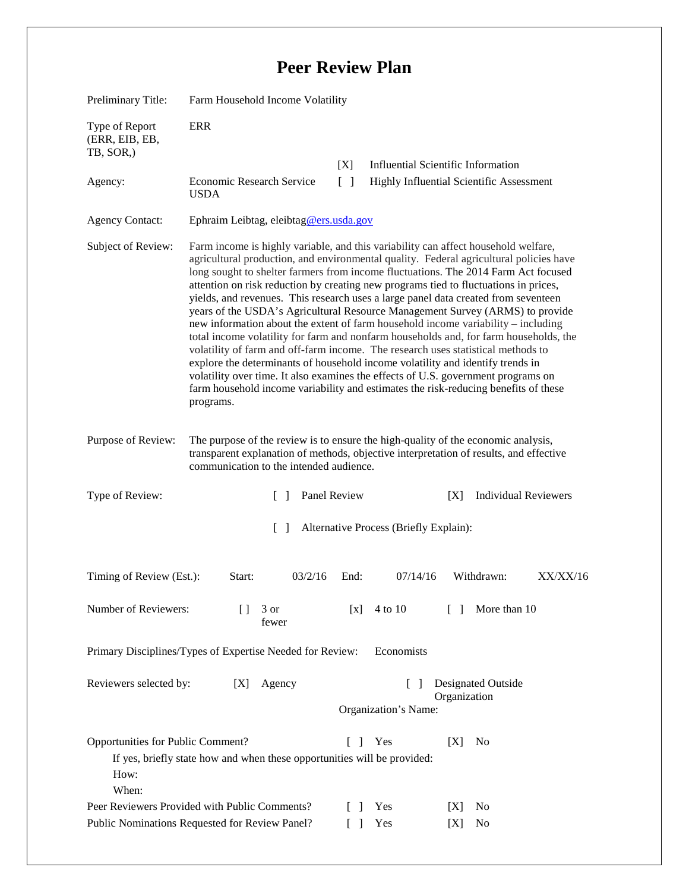## **Peer Review Plan**

| Preliminary Title:                                                                                                                                                                                                            | Farm Household Income Volatility                                                                                                                                                                                                                                                                                                                                                                                                                                                                                                                                                                                                                                                                                                                                                                                                                                                                                                                                                                                                                                               |                        |                                                                                       |        |                             |          |
|-------------------------------------------------------------------------------------------------------------------------------------------------------------------------------------------------------------------------------|--------------------------------------------------------------------------------------------------------------------------------------------------------------------------------------------------------------------------------------------------------------------------------------------------------------------------------------------------------------------------------------------------------------------------------------------------------------------------------------------------------------------------------------------------------------------------------------------------------------------------------------------------------------------------------------------------------------------------------------------------------------------------------------------------------------------------------------------------------------------------------------------------------------------------------------------------------------------------------------------------------------------------------------------------------------------------------|------------------------|---------------------------------------------------------------------------------------|--------|-----------------------------|----------|
| Type of Report<br>(ERR, EIB, EB,<br>TB, SOR,)                                                                                                                                                                                 | <b>ERR</b>                                                                                                                                                                                                                                                                                                                                                                                                                                                                                                                                                                                                                                                                                                                                                                                                                                                                                                                                                                                                                                                                     |                        |                                                                                       |        |                             |          |
| Agency:                                                                                                                                                                                                                       | Economic Research Service<br><b>USDA</b>                                                                                                                                                                                                                                                                                                                                                                                                                                                                                                                                                                                                                                                                                                                                                                                                                                                                                                                                                                                                                                       | [X]<br>$\lceil \rceil$ | <b>Influential Scientific Information</b><br>Highly Influential Scientific Assessment |        |                             |          |
| <b>Agency Contact:</b>                                                                                                                                                                                                        | Ephraim Leibtag, eleibtag@ers.usda.gov                                                                                                                                                                                                                                                                                                                                                                                                                                                                                                                                                                                                                                                                                                                                                                                                                                                                                                                                                                                                                                         |                        |                                                                                       |        |                             |          |
| Subject of Review:                                                                                                                                                                                                            | Farm income is highly variable, and this variability can affect household welfare,<br>agricultural production, and environmental quality. Federal agricultural policies have<br>long sought to shelter farmers from income fluctuations. The 2014 Farm Act focused<br>attention on risk reduction by creating new programs tied to fluctuations in prices,<br>yields, and revenues. This research uses a large panel data created from seventeen<br>years of the USDA's Agricultural Resource Management Survey (ARMS) to provide<br>new information about the extent of farm household income variability - including<br>total income volatility for farm and nonfarm households and, for farm households, the<br>volatility of farm and off-farm income. The research uses statistical methods to<br>explore the determinants of household income volatility and identify trends in<br>volatility over time. It also examines the effects of U.S. government programs on<br>farm household income variability and estimates the risk-reducing benefits of these<br>programs. |                        |                                                                                       |        |                             |          |
| Purpose of Review:                                                                                                                                                                                                            | The purpose of the review is to ensure the high-quality of the economic analysis,<br>transparent explanation of methods, objective interpretation of results, and effective<br>communication to the intended audience.                                                                                                                                                                                                                                                                                                                                                                                                                                                                                                                                                                                                                                                                                                                                                                                                                                                         |                        |                                                                                       |        |                             |          |
| Type of Review:                                                                                                                                                                                                               | $\lceil \; \rceil$                                                                                                                                                                                                                                                                                                                                                                                                                                                                                                                                                                                                                                                                                                                                                                                                                                                                                                                                                                                                                                                             | Panel Review           |                                                                                       | [X]    | <b>Individual Reviewers</b> |          |
| $\lceil \rceil$<br>Alternative Process (Briefly Explain):                                                                                                                                                                     |                                                                                                                                                                                                                                                                                                                                                                                                                                                                                                                                                                                                                                                                                                                                                                                                                                                                                                                                                                                                                                                                                |                        |                                                                                       |        |                             |          |
| Timing of Review (Est.):                                                                                                                                                                                                      | 03/2/16<br>Start:                                                                                                                                                                                                                                                                                                                                                                                                                                                                                                                                                                                                                                                                                                                                                                                                                                                                                                                                                                                                                                                              | End:                   | 07/14/16                                                                              |        | Withdrawn:                  | XX/XX/16 |
| Number of Reviewers:                                                                                                                                                                                                          | Ħ<br>3 or<br>fewer                                                                                                                                                                                                                                                                                                                                                                                                                                                                                                                                                                                                                                                                                                                                                                                                                                                                                                                                                                                                                                                             | [x]                    | 4 to 10                                                                               | $\Box$ | More than 10                |          |
| Economists<br>Primary Disciplines/Types of Expertise Needed for Review:                                                                                                                                                       |                                                                                                                                                                                                                                                                                                                                                                                                                                                                                                                                                                                                                                                                                                                                                                                                                                                                                                                                                                                                                                                                                |                        |                                                                                       |        |                             |          |
| Reviewers selected by:<br>Agency<br>[X]                                                                                                                                                                                       |                                                                                                                                                                                                                                                                                                                                                                                                                                                                                                                                                                                                                                                                                                                                                                                                                                                                                                                                                                                                                                                                                |                        | <b>Designated Outside</b><br>Organization<br>Organization's Name:                     |        |                             |          |
| Opportunities for Public Comment?<br>Yes<br>No<br>ΓI<br>[X]<br>If yes, briefly state how and when these opportunities will be provided:<br>How:<br>When:<br>Peer Reviewers Provided with Public Comments?<br>Yes<br>[X]<br>No |                                                                                                                                                                                                                                                                                                                                                                                                                                                                                                                                                                                                                                                                                                                                                                                                                                                                                                                                                                                                                                                                                |                        |                                                                                       |        |                             |          |
| Public Nominations Requested for Review Panel?                                                                                                                                                                                | Yes                                                                                                                                                                                                                                                                                                                                                                                                                                                                                                                                                                                                                                                                                                                                                                                                                                                                                                                                                                                                                                                                            | [X]                    | No                                                                                    |        |                             |          |